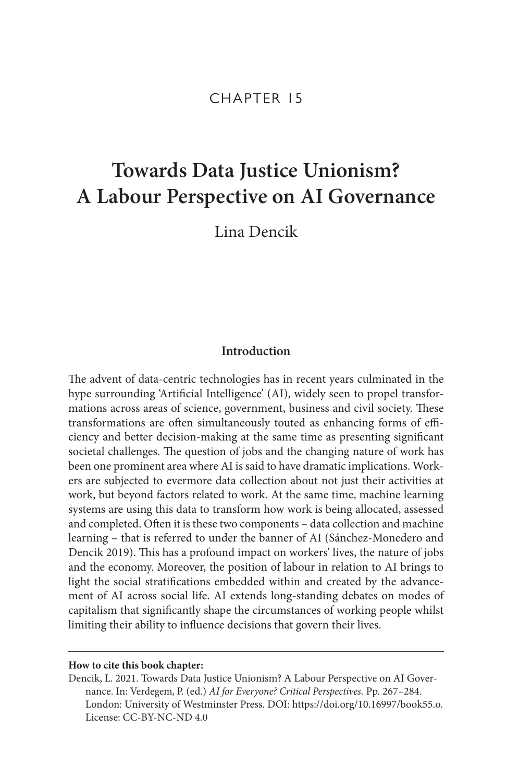# CHAPTER 15

# **Towards Data Justice Unionism? A Labour Perspective on AI Governance**

Lina Dencik

# **Introduction**

The advent of data-centric technologies has in recent years culminated in the hype surrounding 'Artificial Intelligence' (AI), widely seen to propel transformations across areas of science, government, business and civil society. These transformations are often simultaneously touted as enhancing forms of efficiency and better decision-making at the same time as presenting significant societal challenges. The question of jobs and the changing nature of work has been one prominent area where AI is said to have dramatic implications. Workers are subjected to evermore data collection about not just their activities at work, but beyond factors related to work. At the same time, machine learning systems are using this data to transform how work is being allocated, assessed and completed. Often it is these two components – data collection and machine learning – that is referred to under the banner of AI (Sánchez-Monedero and Dencik 2019). This has a profound impact on workers' lives, the nature of jobs and the economy. Moreover, the position of labour in relation to AI brings to light the social stratifications embedded within and created by the advancement of AI across social life. AI extends long-standing debates on modes of capitalism that significantly shape the circumstances of working people whilst limiting their ability to influence decisions that govern their lives.

#### **How to cite this book chapter:**

Dencik, L. 2021. Towards Data Justice Unionism? A Labour Perspective on AI Governance. In: Verdegem, P. (ed.) *AI for Everyone? Critical Perspectives.* Pp. 267–284. London: University of Westminster Press. DOI: [https://doi.org/10.16997/book55.o.](https://doi.org/10.16997/book55.o) License: CC-BY-NC-ND 4.0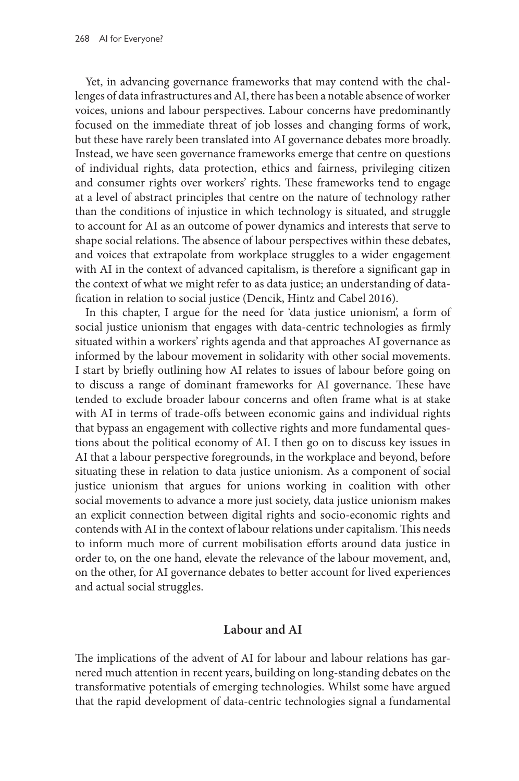Yet, in advancing governance frameworks that may contend with the challenges of data infrastructures and AI, there has been a notable absence of worker voices, unions and labour perspectives. Labour concerns have predominantly focused on the immediate threat of job losses and changing forms of work, but these have rarely been translated into AI governance debates more broadly. Instead, we have seen governance frameworks emerge that centre on questions of individual rights, data protection, ethics and fairness, privileging citizen and consumer rights over workers' rights. These frameworks tend to engage at a level of abstract principles that centre on the nature of technology rather than the conditions of injustice in which technology is situated, and struggle to account for AI as an outcome of power dynamics and interests that serve to shape social relations. The absence of labour perspectives within these debates, and voices that extrapolate from workplace struggles to a wider engagement with AI in the context of advanced capitalism, is therefore a significant gap in the context of what we might refer to as data justice; an understanding of datafication in relation to social justice (Dencik, Hintz and Cabel 2016).

In this chapter, I argue for the need for 'data justice unionism', a form of social justice unionism that engages with data-centric technologies as firmly situated within a workers' rights agenda and that approaches AI governance as informed by the labour movement in solidarity with other social movements. I start by briefly outlining how AI relates to issues of labour before going on to discuss a range of dominant frameworks for AI governance. These have tended to exclude broader labour concerns and often frame what is at stake with AI in terms of trade-offs between economic gains and individual rights that bypass an engagement with collective rights and more fundamental questions about the political economy of AI. I then go on to discuss key issues in AI that a labour perspective foregrounds, in the workplace and beyond, before situating these in relation to data justice unionism. As a component of social justice unionism that argues for unions working in coalition with other social movements to advance a more just society, data justice unionism makes an explicit connection between digital rights and socio-economic rights and contends with AI in the context of labour relations under capitalism. This needs to inform much more of current mobilisation efforts around data justice in order to, on the one hand, elevate the relevance of the labour movement, and, on the other, for AI governance debates to better account for lived experiences and actual social struggles.

# **Labour and AI**

The implications of the advent of AI for labour and labour relations has garnered much attention in recent years, building on long-standing debates on the transformative potentials of emerging technologies. Whilst some have argued that the rapid development of data-centric technologies signal a fundamental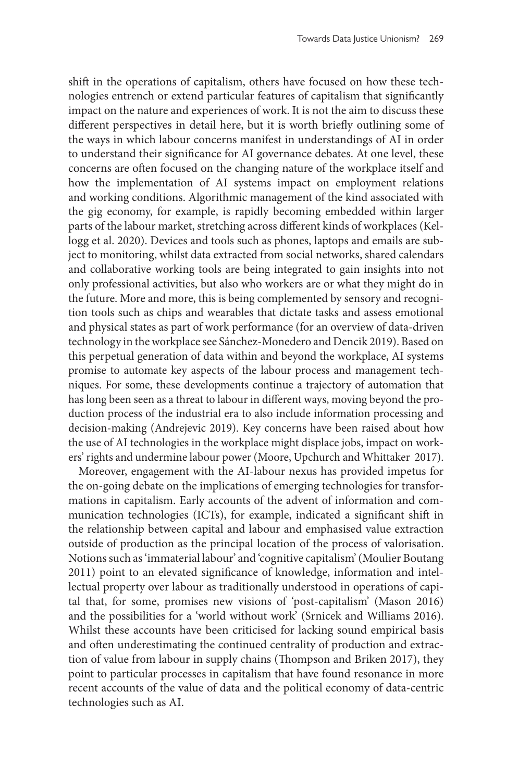shift in the operations of capitalism, others have focused on how these technologies entrench or extend particular features of capitalism that significantly impact on the nature and experiences of work. It is not the aim to discuss these different perspectives in detail here, but it is worth briefly outlining some of the ways in which labour concerns manifest in understandings of AI in order to understand their significance for AI governance debates. At one level, these concerns are often focused on the changing nature of the workplace itself and how the implementation of AI systems impact on employment relations and working conditions. Algorithmic management of the kind associated with the gig economy, for example, is rapidly becoming embedded within larger parts of the labour market, stretching across different kinds of workplaces (Kellogg et al. 2020). Devices and tools such as phones, laptops and emails are subject to monitoring, whilst data extracted from social networks, shared calendars and collaborative working tools are being integrated to gain insights into not only professional activities, but also who workers are or what they might do in the future. More and more, this is being complemented by sensory and recognition tools such as chips and wearables that dictate tasks and assess emotional and physical states as part of work performance (for an overview of data-driven technology in the workplace see Sánchez-Monedero and Dencik 2019). Based on this perpetual generation of data within and beyond the workplace, AI systems promise to automate key aspects of the labour process and management techniques. For some, these developments continue a trajectory of automation that has long been seen as a threat to labour in different ways, moving beyond the production process of the industrial era to also include information processing and decision-making (Andrejevic 2019). Key concerns have been raised about how the use of AI technologies in the workplace might displace jobs, impact on workers' rights and undermine labour power (Moore, Upchurch and Whittaker 2017).

Moreover, engagement with the AI-labour nexus has provided impetus for the on-going debate on the implications of emerging technologies for transformations in capitalism. Early accounts of the advent of information and communication technologies (ICTs), for example, indicated a significant shift in the relationship between capital and labour and emphasised value extraction outside of production as the principal location of the process of valorisation. Notions such as 'immaterial labour' and 'cognitive capitalism' (Moulier Boutang 2011) point to an elevated significance of knowledge, information and intellectual property over labour as traditionally understood in operations of capital that, for some, promises new visions of 'post-capitalism' (Mason 2016) and the possibilities for a 'world without work' (Srnicek and Williams 2016). Whilst these accounts have been criticised for lacking sound empirical basis and often underestimating the continued centrality of production and extraction of value from labour in supply chains (Thompson and Briken 2017), they point to particular processes in capitalism that have found resonance in more recent accounts of the value of data and the political economy of data-centric technologies such as AI.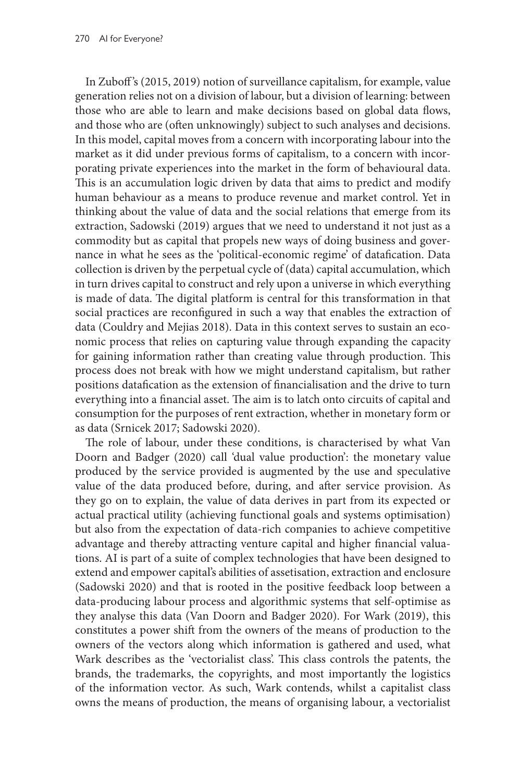In Zuboff 's (2015, 2019) notion of surveillance capitalism, for example, value generation relies not on a division of labour, but a division of learning: between those who are able to learn and make decisions based on global data flows, and those who are (often unknowingly) subject to such analyses and decisions. In this model, capital moves from a concern with incorporating labour into the market as it did under previous forms of capitalism, to a concern with incorporating private experiences into the market in the form of behavioural data. This is an accumulation logic driven by data that aims to predict and modify human behaviour as a means to produce revenue and market control. Yet in thinking about the value of data and the social relations that emerge from its extraction, Sadowski (2019) argues that we need to understand it not just as a commodity but as capital that propels new ways of doing business and governance in what he sees as the 'political-economic regime' of datafication. Data collection is driven by the perpetual cycle of (data) capital accumulation, which in turn drives capital to construct and rely upon a universe in which everything is made of data. The digital platform is central for this transformation in that social practices are reconfigured in such a way that enables the extraction of data (Couldry and Mejias 2018). Data in this context serves to sustain an economic process that relies on capturing value through expanding the capacity for gaining information rather than creating value through production. This process does not break with how we might understand capitalism, but rather positions datafication as the extension of financialisation and the drive to turn everything into a financial asset. The aim is to latch onto circuits of capital and consumption for the purposes of rent extraction, whether in monetary form or as data (Srnicek 2017; Sadowski 2020).

The role of labour, under these conditions, is characterised by what Van Doorn and Badger (2020) call 'dual value production': the monetary value produced by the service provided is augmented by the use and speculative value of the data produced before, during, and after service provision. As they go on to explain, the value of data derives in part from its expected or actual practical utility (achieving functional goals and systems optimisation) but also from the expectation of data-rich companies to achieve competitive advantage and thereby attracting venture capital and higher financial valuations. AI is part of a suite of complex technologies that have been designed to extend and empower capital's abilities of assetisation, extraction and enclosure (Sadowski 2020) and that is rooted in the positive feedback loop between a data-producing labour process and algorithmic systems that self-optimise as they analyse this data (Van Doorn and Badger 2020). For Wark (2019), this constitutes a power shift from the owners of the means of production to the owners of the vectors along which information is gathered and used, what Wark describes as the 'vectorialist class'. This class controls the patents, the brands, the trademarks, the copyrights, and most importantly the logistics of the information vector. As such, Wark contends, whilst a capitalist class owns the means of production, the means of organising labour, a vectorialist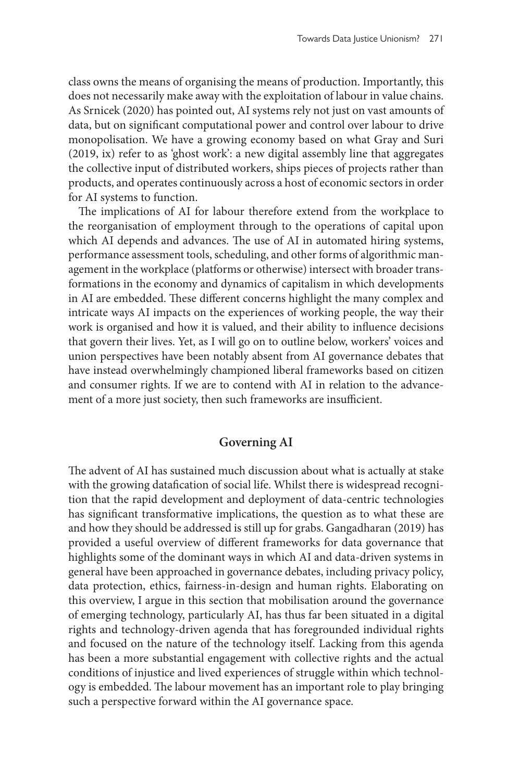class owns the means of organising the means of production. Importantly, this does not necessarily make away with the exploitation of labour in value chains. As Srnicek (2020) has pointed out, AI systems rely not just on vast amounts of data, but on significant computational power and control over labour to drive monopolisation. We have a growing economy based on what Gray and Suri (2019, ix) refer to as 'ghost work': a new digital assembly line that aggregates the collective input of distributed workers, ships pieces of projects rather than products, and operates continuously across a host of economic sectors in order for AI systems to function.

The implications of AI for labour therefore extend from the workplace to the reorganisation of employment through to the operations of capital upon which AI depends and advances. The use of AI in automated hiring systems, performance assessment tools, scheduling, and other forms of algorithmic management in the workplace (platforms or otherwise) intersect with broader transformations in the economy and dynamics of capitalism in which developments in AI are embedded. These different concerns highlight the many complex and intricate ways AI impacts on the experiences of working people, the way their work is organised and how it is valued, and their ability to influence decisions that govern their lives. Yet, as I will go on to outline below, workers' voices and union perspectives have been notably absent from AI governance debates that have instead overwhelmingly championed liberal frameworks based on citizen and consumer rights. If we are to contend with AI in relation to the advancement of a more just society, then such frameworks are insufficient.

#### **Governing AI**

The advent of AI has sustained much discussion about what is actually at stake with the growing datafication of social life. Whilst there is widespread recognition that the rapid development and deployment of data-centric technologies has significant transformative implications, the question as to what these are and how they should be addressed is still up for grabs. Gangadharan (2019) has provided a useful overview of different frameworks for data governance that highlights some of the dominant ways in which AI and data-driven systems in general have been approached in governance debates, including privacy policy, data protection, ethics, fairness-in-design and human rights. Elaborating on this overview, I argue in this section that mobilisation around the governance of emerging technology, particularly AI, has thus far been situated in a digital rights and technology-driven agenda that has foregrounded individual rights and focused on the nature of the technology itself. Lacking from this agenda has been a more substantial engagement with collective rights and the actual conditions of injustice and lived experiences of struggle within which technology is embedded. The labour movement has an important role to play bringing such a perspective forward within the AI governance space.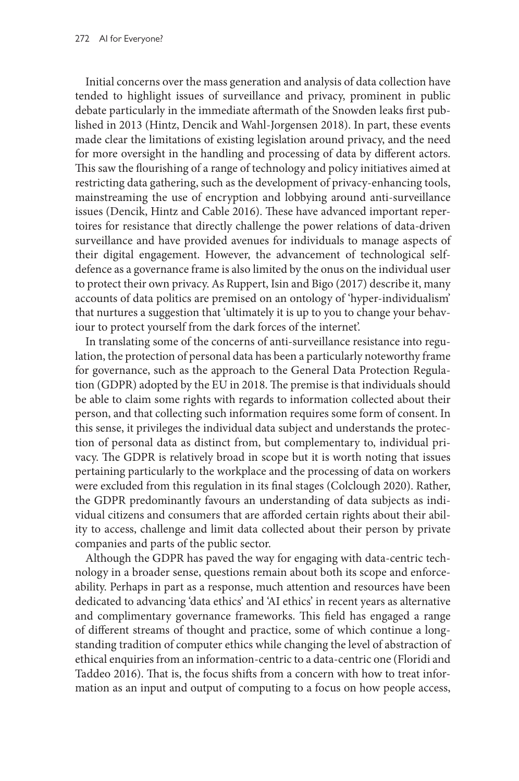Initial concerns over the mass generation and analysis of data collection have tended to highlight issues of surveillance and privacy, prominent in public debate particularly in the immediate aftermath of the Snowden leaks first published in 2013 (Hintz, Dencik and Wahl-Jorgensen 2018). In part, these events made clear the limitations of existing legislation around privacy, and the need for more oversight in the handling and processing of data by different actors. This saw the flourishing of a range of technology and policy initiatives aimed at restricting data gathering, such as the development of privacy-enhancing tools, mainstreaming the use of encryption and lobbying around anti-surveillance issues (Dencik, Hintz and Cable 2016). These have advanced important repertoires for resistance that directly challenge the power relations of data-driven surveillance and have provided avenues for individuals to manage aspects of their digital engagement. However, the advancement of technological selfdefence as a governance frame is also limited by the onus on the individual user to protect their own privacy. As Ruppert, Isin and Bigo (2017) describe it, many accounts of data politics are premised on an ontology of 'hyper-individualism' that nurtures a suggestion that 'ultimately it is up to you to change your behaviour to protect yourself from the dark forces of the internet'.

In translating some of the concerns of anti-surveillance resistance into regulation, the protection of personal data has been a particularly noteworthy frame for governance, such as the approach to the General Data Protection Regulation (GDPR) adopted by the EU in 2018. The premise is that individuals should be able to claim some rights with regards to information collected about their person, and that collecting such information requires some form of consent. In this sense, it privileges the individual data subject and understands the protection of personal data as distinct from, but complementary to, individual privacy. The GDPR is relatively broad in scope but it is worth noting that issues pertaining particularly to the workplace and the processing of data on workers were excluded from this regulation in its final stages (Colclough 2020). Rather, the GDPR predominantly favours an understanding of data subjects as individual citizens and consumers that are afforded certain rights about their ability to access, challenge and limit data collected about their person by private companies and parts of the public sector.

Although the GDPR has paved the way for engaging with data-centric technology in a broader sense, questions remain about both its scope and enforceability. Perhaps in part as a response, much attention and resources have been dedicated to advancing 'data ethics' and 'AI ethics' in recent years as alternative and complimentary governance frameworks. This field has engaged a range of different streams of thought and practice, some of which continue a longstanding tradition of computer ethics while changing the level of abstraction of ethical enquiries from an information-centric to a data-centric one (Floridi and Taddeo 2016). That is, the focus shifts from a concern with how to treat information as an input and output of computing to a focus on how people access,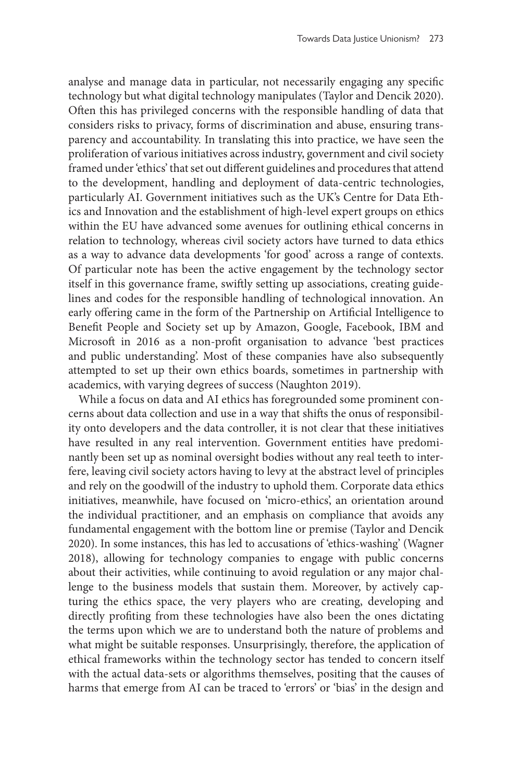analyse and manage data in particular, not necessarily engaging any specific technology but what digital technology manipulates (Taylor and Dencik 2020). Often this has privileged concerns with the responsible handling of data that considers risks to privacy, forms of discrimination and abuse, ensuring transparency and accountability. In translating this into practice, we have seen the proliferation of various initiatives across industry, government and civil society framed under 'ethics' that set out different guidelines and procedures that attend to the development, handling and deployment of data-centric technologies, particularly AI. Government initiatives such as the UK's Centre for Data Ethics and Innovation and the establishment of high-level expert groups on ethics within the EU have advanced some avenues for outlining ethical concerns in relation to technology, whereas civil society actors have turned to data ethics as a way to advance data developments 'for good' across a range of contexts. Of particular note has been the active engagement by the technology sector itself in this governance frame, swiftly setting up associations, creating guidelines and codes for the responsible handling of technological innovation. An early offering came in the form of the Partnership on Artificial Intelligence to Benefit People and Society set up by Amazon, Google, Facebook, IBM and Microsoft in 2016 as a non-profit organisation to advance 'best practices and public understanding'. Most of these companies have also subsequently attempted to set up their own ethics boards, sometimes in partnership with academics, with varying degrees of success (Naughton 2019).

While a focus on data and AI ethics has foregrounded some prominent concerns about data collection and use in a way that shifts the onus of responsibility onto developers and the data controller, it is not clear that these initiatives have resulted in any real intervention. Government entities have predominantly been set up as nominal oversight bodies without any real teeth to interfere, leaving civil society actors having to levy at the abstract level of principles and rely on the goodwill of the industry to uphold them. Corporate data ethics initiatives, meanwhile, have focused on 'micro-ethics', an orientation around the individual practitioner, and an emphasis on compliance that avoids any fundamental engagement with the bottom line or premise (Taylor and Dencik 2020). In some instances, this has led to accusations of 'ethics-washing' (Wagner 2018), allowing for technology companies to engage with public concerns about their activities, while continuing to avoid regulation or any major challenge to the business models that sustain them. Moreover, by actively capturing the ethics space, the very players who are creating, developing and directly profiting from these technologies have also been the ones dictating the terms upon which we are to understand both the nature of problems and what might be suitable responses. Unsurprisingly, therefore, the application of ethical frameworks within the technology sector has tended to concern itself with the actual data-sets or algorithms themselves, positing that the causes of harms that emerge from AI can be traced to 'errors' or 'bias' in the design and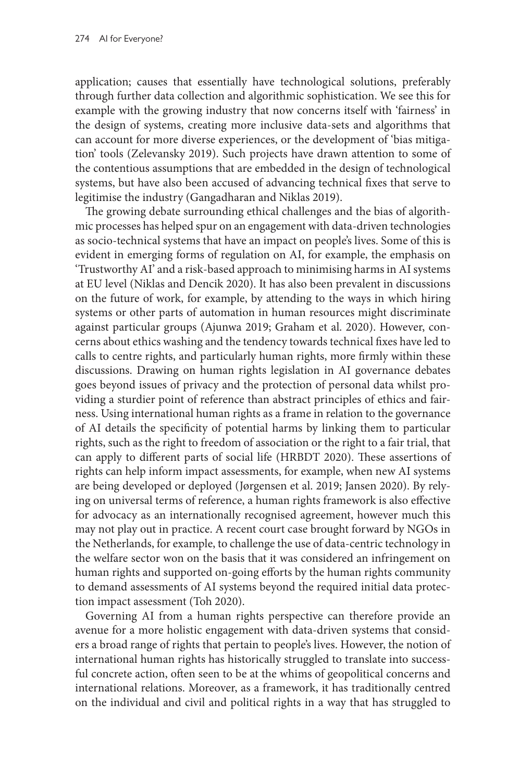application; causes that essentially have technological solutions, preferably through further data collection and algorithmic sophistication. We see this for example with the growing industry that now concerns itself with 'fairness' in the design of systems, creating more inclusive data-sets and algorithms that can account for more diverse experiences, or the development of 'bias mitigation' tools (Zelevansky 2019). Such projects have drawn attention to some of the contentious assumptions that are embedded in the design of technological systems, but have also been accused of advancing technical fixes that serve to legitimise the industry (Gangadharan and Niklas 2019).

The growing debate surrounding ethical challenges and the bias of algorithmic processes has helped spur on an engagement with data-driven technologies as socio-technical systems that have an impact on people's lives. Some of this is evident in emerging forms of regulation on AI, for example, the emphasis on 'Trustworthy AI' and a risk-based approach to minimising harms in AI systems at EU level (Niklas and Dencik 2020). It has also been prevalent in discussions on the future of work, for example, by attending to the ways in which hiring systems or other parts of automation in human resources might discriminate against particular groups (Ajunwa 2019; Graham et al. 2020). However, concerns about ethics washing and the tendency towards technical fixes have led to calls to centre rights, and particularly human rights, more firmly within these discussions. Drawing on human rights legislation in AI governance debates goes beyond issues of privacy and the protection of personal data whilst providing a sturdier point of reference than abstract principles of ethics and fairness. Using international human rights as a frame in relation to the governance of AI details the specificity of potential harms by linking them to particular rights, such as the right to freedom of association or the right to a fair trial, that can apply to different parts of social life (HRBDT 2020). These assertions of rights can help inform impact assessments, for example, when new AI systems are being developed or deployed (Jørgensen et al. 2019; Jansen 2020). By relying on universal terms of reference, a human rights framework is also effective for advocacy as an internationally recognised agreement, however much this may not play out in practice. A recent court case brought forward by NGOs in the Netherlands, for example, to challenge the use of data-centric technology in the welfare sector won on the basis that it was considered an infringement on human rights and supported on-going efforts by the human rights community to demand assessments of AI systems beyond the required initial data protection impact assessment (Toh 2020).

Governing AI from a human rights perspective can therefore provide an avenue for a more holistic engagement with data-driven systems that considers a broad range of rights that pertain to people's lives. However, the notion of international human rights has historically struggled to translate into successful concrete action, often seen to be at the whims of geopolitical concerns and international relations. Moreover, as a framework, it has traditionally centred on the individual and civil and political rights in a way that has struggled to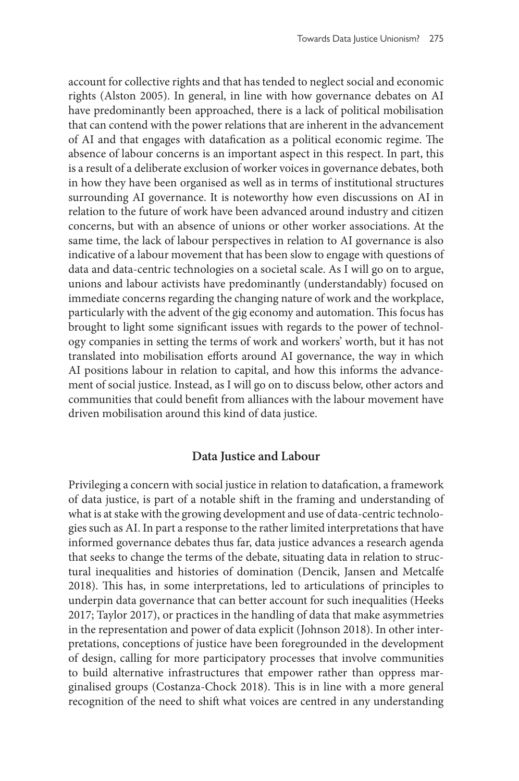account for collective rights and that has tended to neglect social and economic rights (Alston 2005). In general, in line with how governance debates on AI have predominantly been approached, there is a lack of political mobilisation that can contend with the power relations that are inherent in the advancement of AI and that engages with datafication as a political economic regime. The absence of labour concerns is an important aspect in this respect. In part, this is a result of a deliberate exclusion of worker voices in governance debates, both in how they have been organised as well as in terms of institutional structures surrounding AI governance. It is noteworthy how even discussions on AI in relation to the future of work have been advanced around industry and citizen concerns, but with an absence of unions or other worker associations. At the same time, the lack of labour perspectives in relation to AI governance is also indicative of a labour movement that has been slow to engage with questions of data and data-centric technologies on a societal scale. As I will go on to argue, unions and labour activists have predominantly (understandably) focused on immediate concerns regarding the changing nature of work and the workplace, particularly with the advent of the gig economy and automation. This focus has brought to light some significant issues with regards to the power of technology companies in setting the terms of work and workers' worth, but it has not translated into mobilisation efforts around AI governance, the way in which AI positions labour in relation to capital, and how this informs the advancement of social justice. Instead, as I will go on to discuss below, other actors and communities that could benefit from alliances with the labour movement have driven mobilisation around this kind of data justice.

#### **Data Justice and Labour**

Privileging a concern with social justice in relation to datafication, a framework of data justice, is part of a notable shift in the framing and understanding of what is at stake with the growing development and use of data-centric technologies such as AI. In part a response to the rather limited interpretations that have informed governance debates thus far, data justice advances a research agenda that seeks to change the terms of the debate, situating data in relation to structural inequalities and histories of domination (Dencik, Jansen and Metcalfe 2018). This has, in some interpretations, led to articulations of principles to underpin data governance that can better account for such inequalities (Heeks 2017; Taylor 2017), or practices in the handling of data that make asymmetries in the representation and power of data explicit (Johnson 2018). In other interpretations, conceptions of justice have been foregrounded in the development of design, calling for more participatory processes that involve communities to build alternative infrastructures that empower rather than oppress marginalised groups (Costanza-Chock 2018). This is in line with a more general recognition of the need to shift what voices are centred in any understanding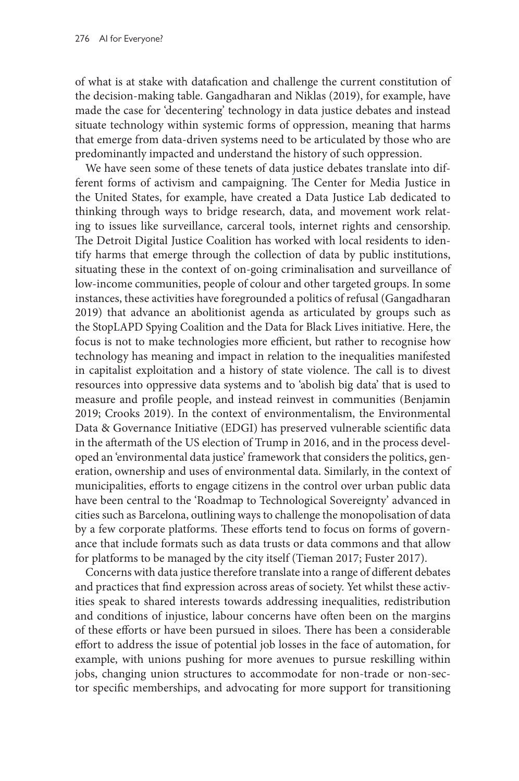of what is at stake with datafication and challenge the current constitution of the decision-making table. Gangadharan and Niklas (2019), for example, have made the case for 'decentering' technology in data justice debates and instead situate technology within systemic forms of oppression, meaning that harms that emerge from data-driven systems need to be articulated by those who are predominantly impacted and understand the history of such oppression.

We have seen some of these tenets of data justice debates translate into different forms of activism and campaigning. The Center for Media Justice in the United States, for example, have created a Data Justice Lab dedicated to thinking through ways to bridge research, data, and movement work relating to issues like surveillance, carceral tools, internet rights and censorship. The Detroit Digital Justice Coalition has worked with local residents to identify harms that emerge through the collection of data by public institutions, situating these in the context of on-going criminalisation and surveillance of low-income communities, people of colour and other targeted groups. In some instances, these activities have foregrounded a politics of refusal (Gangadharan 2019) that advance an abolitionist agenda as articulated by groups such as the StopLAPD Spying Coalition and the Data for Black Lives initiative. Here, the focus is not to make technologies more efficient, but rather to recognise how technology has meaning and impact in relation to the inequalities manifested in capitalist exploitation and a history of state violence. The call is to divest resources into oppressive data systems and to 'abolish big data' that is used to measure and profile people, and instead reinvest in communities (Benjamin 2019; Crooks 2019). In the context of environmentalism, the Environmental Data & Governance Initiative (EDGI) has preserved vulnerable scientific data in the aftermath of the US election of Trump in 2016, and in the process developed an 'environmental data justice' framework that considers the politics, generation, ownership and uses of environmental data. Similarly, in the context of municipalities, efforts to engage citizens in the control over urban public data have been central to the 'Roadmap to Technological Sovereignty' advanced in cities such as Barcelona, outlining ways to challenge the monopolisation of data by a few corporate platforms. These efforts tend to focus on forms of governance that include formats such as data trusts or data commons and that allow for platforms to be managed by the city itself (Tieman 2017; Fuster 2017).

Concerns with data justice therefore translate into a range of different debates and practices that find expression across areas of society. Yet whilst these activities speak to shared interests towards addressing inequalities, redistribution and conditions of injustice, labour concerns have often been on the margins of these efforts or have been pursued in siloes. There has been a considerable effort to address the issue of potential job losses in the face of automation, for example, with unions pushing for more avenues to pursue reskilling within jobs, changing union structures to accommodate for non-trade or non-sector specific memberships, and advocating for more support for transitioning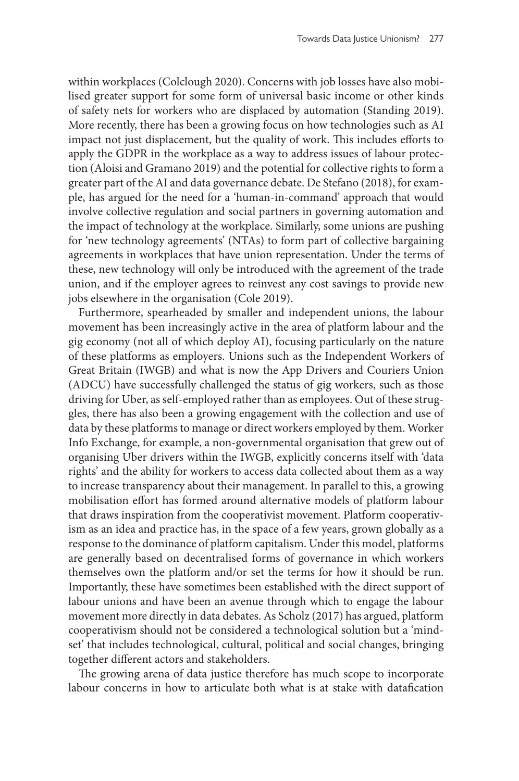within workplaces (Colclough 2020). Concerns with job losses have also mobilised greater support for some form of universal basic income or other kinds of safety nets for workers who are displaced by automation (Standing 2019). More recently, there has been a growing focus on how technologies such as AI impact not just displacement, but the quality of work. This includes efforts to apply the GDPR in the workplace as a way to address issues of labour protection (Aloisi and Gramano 2019) and the potential for collective rights to form a greater part of the AI and data governance debate. De Stefano (2018), for example, has argued for the need for a 'human-in-command' approach that would involve collective regulation and social partners in governing automation and the impact of technology at the workplace. Similarly, some unions are pushing for 'new technology agreements' (NTAs) to form part of collective bargaining agreements in workplaces that have union representation. Under the terms of these, new technology will only be introduced with the agreement of the trade union, and if the employer agrees to reinvest any cost savings to provide new jobs elsewhere in the organisation (Cole 2019).

Furthermore, spearheaded by smaller and independent unions, the labour movement has been increasingly active in the area of platform labour and the gig economy (not all of which deploy AI), focusing particularly on the nature of these platforms as employers. Unions such as the Independent Workers of Great Britain (IWGB) and what is now the App Drivers and Couriers Union (ADCU) have successfully challenged the status of gig workers, such as those driving for Uber, as self-employed rather than as employees. Out of these struggles, there has also been a growing engagement with the collection and use of data by these platforms to manage or direct workers employed by them. Worker Info Exchange, for example, a non-governmental organisation that grew out of organising Uber drivers within the IWGB, explicitly concerns itself with 'data rights' and the ability for workers to access data collected about them as a way to increase transparency about their management. In parallel to this, a growing mobilisation effort has formed around alternative models of platform labour that draws inspiration from the cooperativist movement. Platform cooperativism as an idea and practice has, in the space of a few years, grown globally as a response to the dominance of platform capitalism. Under this model, platforms are generally based on decentralised forms of governance in which workers themselves own the platform and/or set the terms for how it should be run. Importantly, these have sometimes been established with the direct support of labour unions and have been an avenue through which to engage the labour movement more directly in data debates. As Scholz (2017) has argued, platform cooperativism should not be considered a technological solution but a 'mindset' that includes technological, cultural, political and social changes, bringing together different actors and stakeholders.

The growing arena of data justice therefore has much scope to incorporate labour concerns in how to articulate both what is at stake with datafication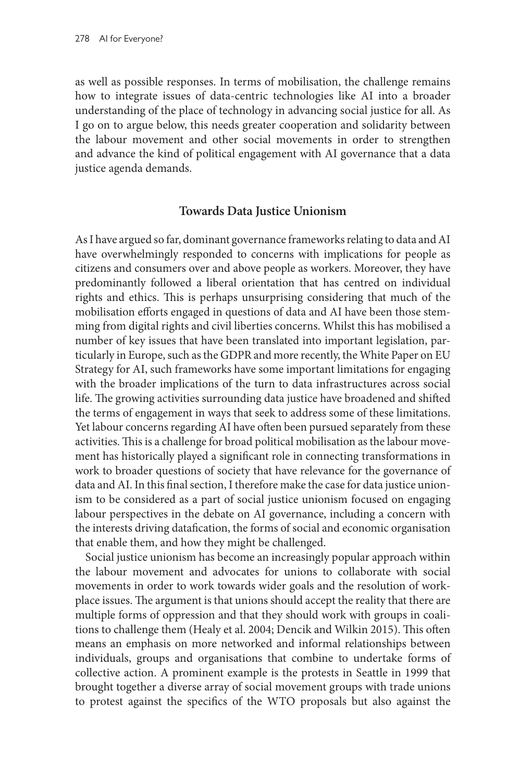as well as possible responses. In terms of mobilisation, the challenge remains how to integrate issues of data-centric technologies like AI into a broader understanding of the place of technology in advancing social justice for all. As I go on to argue below, this needs greater cooperation and solidarity between the labour movement and other social movements in order to strengthen and advance the kind of political engagement with AI governance that a data justice agenda demands.

# **Towards Data Justice Unionism**

As I have argued so far, dominant governance frameworks relating to data and AI have overwhelmingly responded to concerns with implications for people as citizens and consumers over and above people as workers. Moreover, they have predominantly followed a liberal orientation that has centred on individual rights and ethics. This is perhaps unsurprising considering that much of the mobilisation efforts engaged in questions of data and AI have been those stemming from digital rights and civil liberties concerns. Whilst this has mobilised a number of key issues that have been translated into important legislation, particularly in Europe, such as the GDPR and more recently, the White Paper on EU Strategy for AI, such frameworks have some important limitations for engaging with the broader implications of the turn to data infrastructures across social life. The growing activities surrounding data justice have broadened and shifted the terms of engagement in ways that seek to address some of these limitations. Yet labour concerns regarding AI have often been pursued separately from these activities. This is a challenge for broad political mobilisation as the labour movement has historically played a significant role in connecting transformations in work to broader questions of society that have relevance for the governance of data and AI. In this final section, I therefore make the case for data justice unionism to be considered as a part of social justice unionism focused on engaging labour perspectives in the debate on AI governance, including a concern with the interests driving datafication, the forms of social and economic organisation that enable them, and how they might be challenged.

Social justice unionism has become an increasingly popular approach within the labour movement and advocates for unions to collaborate with social movements in order to work towards wider goals and the resolution of workplace issues. The argument is that unions should accept the reality that there are multiple forms of oppression and that they should work with groups in coalitions to challenge them (Healy et al. 2004; Dencik and Wilkin 2015). This often means an emphasis on more networked and informal relationships between individuals, groups and organisations that combine to undertake forms of collective action. A prominent example is the protests in Seattle in 1999 that brought together a diverse array of social movement groups with trade unions to protest against the specifics of the WTO proposals but also against the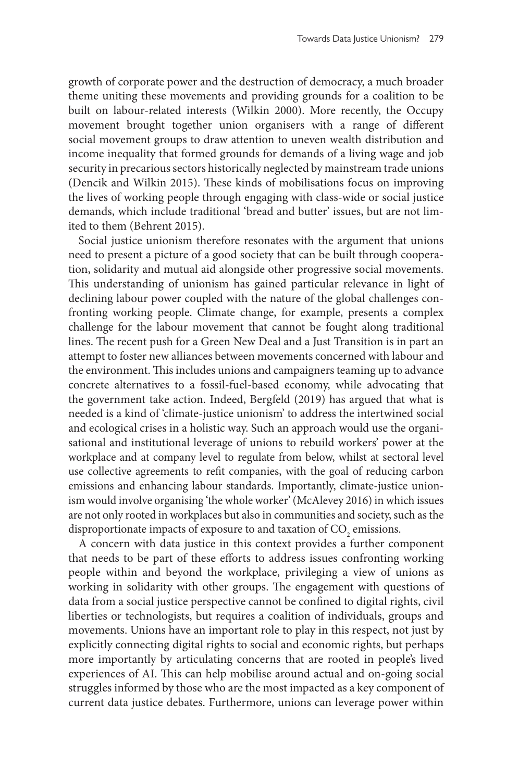growth of corporate power and the destruction of democracy, a much broader theme uniting these movements and providing grounds for a coalition to be built on labour-related interests (Wilkin 2000). More recently, the Occupy movement brought together union organisers with a range of different social movement groups to draw attention to uneven wealth distribution and income inequality that formed grounds for demands of a living wage and job security in precarious sectors historically neglected by mainstream trade unions (Dencik and Wilkin 2015). These kinds of mobilisations focus on improving the lives of working people through engaging with class-wide or social justice demands, which include traditional 'bread and butter' issues, but are not limited to them (Behrent 2015).

Social justice unionism therefore resonates with the argument that unions need to present a picture of a good society that can be built through cooperation, solidarity and mutual aid alongside other progressive social movements. This understanding of unionism has gained particular relevance in light of declining labour power coupled with the nature of the global challenges confronting working people. Climate change, for example, presents a complex challenge for the labour movement that cannot be fought along traditional lines. The recent push for a Green New Deal and a Just Transition is in part an attempt to foster new alliances between movements concerned with labour and the environment. This includes unions and campaigners teaming up to advance concrete alternatives to a fossil-fuel-based economy, while advocating that the government take action. Indeed, Bergfeld (2019) has argued that what is needed is a kind of 'climate-justice unionism' to address the intertwined social and ecological crises in a holistic way. Such an approach would use the organisational and institutional leverage of unions to rebuild workers' power at the workplace and at company level to regulate from below, whilst at sectoral level use collective agreements to refit companies, with the goal of reducing carbon emissions and enhancing labour standards. Importantly, climate-justice unionism would involve organising 'the whole worker' (McAlevey 2016) in which issues are not only rooted in workplaces but also in communities and society, such as the disproportionate impacts of exposure to and taxation of  $\mathrm{CO}_2$  emissions.

A concern with data justice in this context provides a further component that needs to be part of these efforts to address issues confronting working people within and beyond the workplace, privileging a view of unions as working in solidarity with other groups. The engagement with questions of data from a social justice perspective cannot be confined to digital rights, civil liberties or technologists, but requires a coalition of individuals, groups and movements. Unions have an important role to play in this respect, not just by explicitly connecting digital rights to social and economic rights, but perhaps more importantly by articulating concerns that are rooted in people's lived experiences of AI. This can help mobilise around actual and on-going social struggles informed by those who are the most impacted as a key component of current data justice debates. Furthermore, unions can leverage power within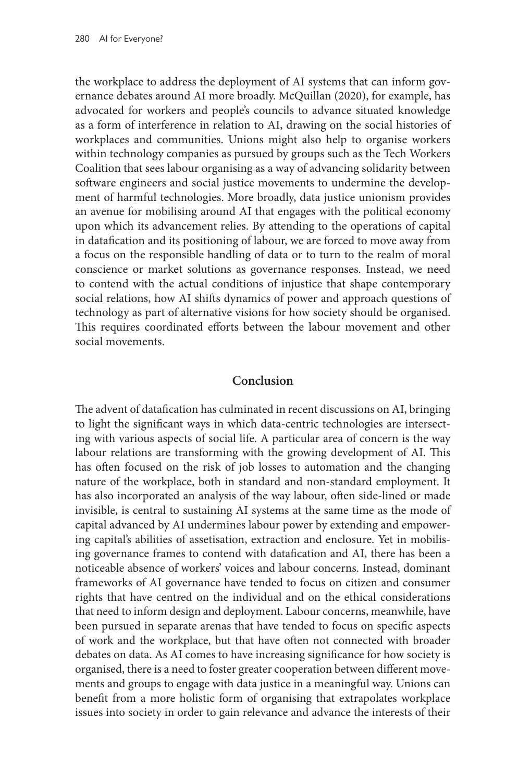the workplace to address the deployment of AI systems that can inform governance debates around AI more broadly. McQuillan (2020), for example, has advocated for workers and people's councils to advance situated knowledge as a form of interference in relation to AI, drawing on the social histories of workplaces and communities. Unions might also help to organise workers within technology companies as pursued by groups such as the Tech Workers Coalition that sees labour organising as a way of advancing solidarity between software engineers and social justice movements to undermine the development of harmful technologies. More broadly, data justice unionism provides an avenue for mobilising around AI that engages with the political economy upon which its advancement relies. By attending to the operations of capital in datafication and its positioning of labour, we are forced to move away from a focus on the responsible handling of data or to turn to the realm of moral conscience or market solutions as governance responses. Instead, we need to contend with the actual conditions of injustice that shape contemporary social relations, how AI shifts dynamics of power and approach questions of technology as part of alternative visions for how society should be organised. This requires coordinated efforts between the labour movement and other social movements.

### **Conclusion**

The advent of datafication has culminated in recent discussions on AI, bringing to light the significant ways in which data-centric technologies are intersecting with various aspects of social life. A particular area of concern is the way labour relations are transforming with the growing development of AI. This has often focused on the risk of job losses to automation and the changing nature of the workplace, both in standard and non-standard employment. It has also incorporated an analysis of the way labour, often side-lined or made invisible, is central to sustaining AI systems at the same time as the mode of capital advanced by AI undermines labour power by extending and empowering capital's abilities of assetisation, extraction and enclosure. Yet in mobilising governance frames to contend with datafication and AI, there has been a noticeable absence of workers' voices and labour concerns. Instead, dominant frameworks of AI governance have tended to focus on citizen and consumer rights that have centred on the individual and on the ethical considerations that need to inform design and deployment. Labour concerns, meanwhile, have been pursued in separate arenas that have tended to focus on specific aspects of work and the workplace, but that have often not connected with broader debates on data. As AI comes to have increasing significance for how society is organised, there is a need to foster greater cooperation between different movements and groups to engage with data justice in a meaningful way. Unions can benefit from a more holistic form of organising that extrapolates workplace issues into society in order to gain relevance and advance the interests of their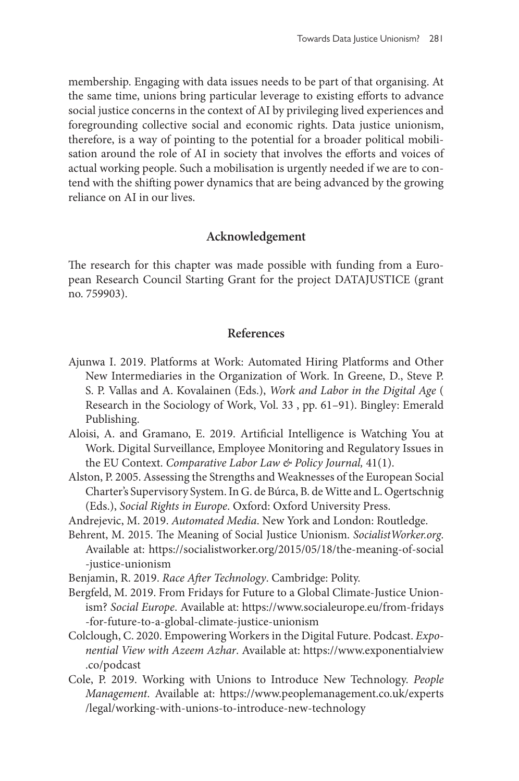membership. Engaging with data issues needs to be part of that organising. At the same time, unions bring particular leverage to existing efforts to advance social justice concerns in the context of AI by privileging lived experiences and foregrounding collective social and economic rights. Data justice unionism, therefore, is a way of pointing to the potential for a broader political mobilisation around the role of AI in society that involves the efforts and voices of actual working people. Such a mobilisation is urgently needed if we are to contend with the shifting power dynamics that are being advanced by the growing reliance on AI in our lives.

# **Acknowledgement**

The research for this chapter was made possible with funding from a European Research Council Starting Grant for the project DATAJUSTICE (grant no. 759903).

#### **References**

- Ajunwa I. 2019. Platforms at Work: Automated Hiring Platforms and Other New Intermediaries in the Organization of Work. In Greene, D., Steve P. S. P. Vallas and A. Kovalainen (Eds.), *Work and Labor in the Digital Age* ( Research in the Sociology of Work, Vol. 33 , pp. 61–91). Bingley: Emerald Publishing.
- Aloisi, A. and Gramano, E. 2019. Artificial Intelligence is Watching You at Work. Digital Surveillance, Employee Monitoring and Regulatory Issues in the EU Context. *Comparative Labor Law & Policy Journal,* 41(1).
- Alston, P. 2005. Assessing the Strengths and Weaknesses of the European Social Charter's Supervisory System. In G. de Búrca, B. de Witte and L. Ogertschnig (Eds.), *Social Rights in Europe*. Oxford: Oxford University Press.
- Andrejevic, M. 2019. *Automated Media*. New York and London: Routledge.
- Behrent, M. 2015. The Meaning of Social Justice Unionism. *[SocialistWorker.org](http://SocialistWorker.org)*. Available at: [https://socialistworker.org/2015/05/18/the-meaning-of-social](https://socialistworker.org/2015/05/18/the-meaning-of-social-justice-unionism) [-justice-unionism](https://socialistworker.org/2015/05/18/the-meaning-of-social-justice-unionism)
- Benjamin, R. 2019. *Race After Technology*. Cambridge: Polity.
- Bergfeld, M. 2019. From Fridays for Future to a Global Climate-Justice Unionism? *Social Europe*. Available at: [https://www.socialeurope.eu/from-fridays](https://www.socialeurope.eu/from-fridays-for-future-to-a-global-climate-justice-unionism) [-for-future-to-a-global-climate-justice-unionism](https://www.socialeurope.eu/from-fridays-for-future-to-a-global-climate-justice-unionism)
- Colclough, C. 2020. Empowering Workers in the Digital Future. Podcast. *Exponential View with Azeem Azhar*. Available at: [https://www.exponentialview](https://www.exponentialview.co/podcast) [.co/podcast](https://www.exponentialview.co/podcast)
- Cole, P. 2019. Working with Unions to Introduce New Technology. *People Management*. Available at: [https://www.peoplemanagement.co.uk/experts](https://www.peoplemanagement.co.uk/experts/legal/working-with-unions-to-introduce-new-technology) [/legal/working-with-unions-to-introduce-new-technology](https://www.peoplemanagement.co.uk/experts/legal/working-with-unions-to-introduce-new-technology)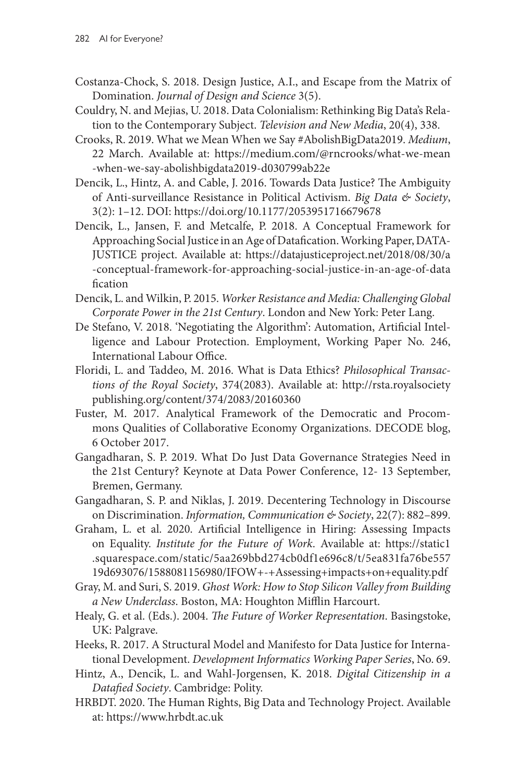- Costanza-Chock, S. 2018. Design Justice, A.I., and Escape from the Matrix of Domination. *Journal of Design and Science* 3(5).
- Couldry, N. and Mejias, U. 2018. Data Colonialism: Rethinking Big Data's Relation to the Contemporary Subject. *Television and New Media*, 20(4), 338.
- Crooks, R. 2019. What we Mean When we Say #AbolishBigData2019. *Medium*, 22 March. Available at: [https://medium.com/@rncrooks/what-we-mean](mailto:https://medium.com/@rncrooks/what-we-mean-when-we-say-abolishbigdata2019-d030799ab22e) [-when-we-say-abolishbigdata2019-d030799ab22e](mailto:https://medium.com/@rncrooks/what-we-mean-when-we-say-abolishbigdata2019-d030799ab22e)
- Dencik, L., Hintz, A. and Cable, J. 2016. Towards Data Justice? The Ambiguity of Anti-surveillance Resistance in Political Activism. *Big Data & Society*, 3(2): 1–12. DOI: <https://doi.org/10.1177/2053951716679678>
- Dencik, L., Jansen, F. and Metcalfe, P. 2018. A Conceptual Framework for Approaching Social Justice in an Age of Datafication. Working Paper, DATA-JUSTICE project. Available at: [https://datajusticeproject.net/2018/08/30/a](https://datajusticeproject.net/2018/08/30/a-conceptual-framework-for-approaching-social-justice-in-an-age-of-datafication) [-conceptual-framework-for-approaching-social-justice-in-an-age-of-data](https://datajusticeproject.net/2018/08/30/a-conceptual-framework-for-approaching-social-justice-in-an-age-of-datafication) [fication](https://datajusticeproject.net/2018/08/30/a-conceptual-framework-for-approaching-social-justice-in-an-age-of-datafication)
- Dencik, L. and Wilkin, P. 2015. *Worker Resistance and Media: Challenging Global Corporate Power in the 21st Century*. London and New York: Peter Lang.
- De Stefano, V. 2018. 'Negotiating the Algorithm': Automation, Artificial Intelligence and Labour Protection. Employment, Working Paper No. 246, International Labour Office.
- Floridi, L. and Taddeo, M. 2016. What is Data Ethics? *Philosophical Transactions of the Royal Society*, 374(2083). Available at: [http://rsta.royalsociety](http://rsta.royalsocietypublishing.org/content/374/2083/20160360) [publishing.org/content/374/2083/20160360](http://rsta.royalsocietypublishing.org/content/374/2083/20160360)
- Fuster, M. 2017. Analytical Framework of the Democratic and Procommons Qualities of Collaborative Economy Organizations. DECODE blog, 6 October 2017.
- Gangadharan, S. P. 2019. What Do Just Data Governance Strategies Need in the 21st Century? Keynote at Data Power Conference, 12- 13 September, Bremen, Germany.
- Gangadharan, S. P. and Niklas, J. 2019. Decentering Technology in Discourse on Discrimination. *Information, Communication & Society*, 22(7): 882–899.
- Graham, L. et al. 2020. Artificial Intelligence in Hiring: Assessing Impacts on Equality. *Institute for the Future of Work*. Available at: [https://static1](https://static1.squarespace.com/static/5aa269bbd274cb0df1e696c8/t/5ea831fa76be55719d693076/1588081156980/IFOW+-+Assessing+impacts+on+equality.pdf) [.squarespace.com/static/5aa269bbd274cb0df1e696c8/t/5ea831fa76be557](https://static1.squarespace.com/static/5aa269bbd274cb0df1e696c8/t/5ea831fa76be55719d693076/1588081156980/IFOW+-+Assessing+impacts+on+equality.pdf) [19d693076/1588081156980/IFOW+-+Assessing+impacts+on+equality.pdf](https://static1.squarespace.com/static/5aa269bbd274cb0df1e696c8/t/5ea831fa76be55719d693076/1588081156980/IFOW+-+Assessing+impacts+on+equality.pdf)
- Gray, M. and Suri, S. 2019. *Ghost Work: How to Stop Silicon Valley from Building a New Underclass*. Boston, MA: Houghton Mifflin Harcourt.
- Healy, G. et al. (Eds.). 2004. *The Future of Worker Representation*. Basingstoke, UK: Palgrave.
- Heeks, R. 2017. A Structural Model and Manifesto for Data Justice for International Development. *Development Informatics Working Paper Series*, No. 69.
- Hintz, A., Dencik, L. and Wahl-Jorgensen, K. 2018. *Digital Citizenship in a Datafied Society*. Cambridge: Polity.
- HRBDT. 2020. The Human Rights, Big Data and Technology Project. Available at:<https://www.hrbdt.ac.uk>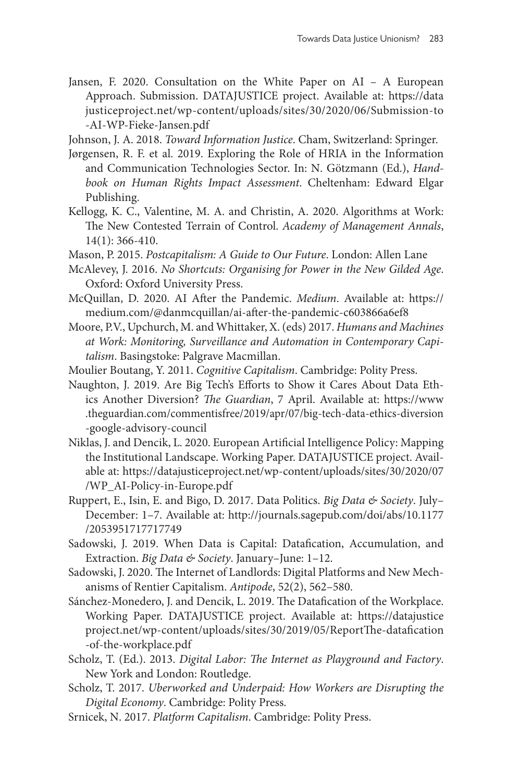- Jansen, F. 2020. Consultation on the White Paper on AI A European Approach. Submission. DATAJUSTICE project. Available at: [https://data](https://datajusticeproject.net/wp-content/uploads/sites/30/2020/06/Submission-to-AI-WP-Fieke-Jansen.pdf) [justiceproject.net/wp-content/uploads/sites/30/2020/06/Submission-to](https://datajusticeproject.net/wp-content/uploads/sites/30/2020/06/Submission-to-AI-WP-Fieke-Jansen.pdf) [-AI-WP-Fieke-Jansen.pdf](https://datajusticeproject.net/wp-content/uploads/sites/30/2020/06/Submission-to-AI-WP-Fieke-Jansen.pdf)
- Johnson, J. A. 2018. *Toward Information Justice*. Cham, Switzerland: Springer.
- Jørgensen, R. F. et al. 2019. Exploring the Role of HRIA in the Information and Communication Technologies Sector. In: N. Götzmann (Ed.), *Handbook on Human Rights Impact Assessment*. Cheltenham: Edward Elgar Publishing.
- Kellogg, K. C., Valentine, M. A. and Christin, A. 2020. Algorithms at Work: The New Contested Terrain of Control. *Academy of Management Annals*, 14(1): 366-410.
- Mason, P. 2015. *Postcapitalism: A Guide to Our Future*. London: Allen Lane
- McAlevey, J. 2016. *No Shortcuts: Organising for Power in the New Gilded Age*. Oxford: Oxford University Press.
- McQuillan, D. 2020. AI After the Pandemic. *Medium*. Available at: [https://](mailto:https://medium.com/@danmcquillan/ai-after-the-pandemic-c603866a6ef8) [medium.com/@danmcquillan/ai-after-the-pandemic-c603866a6ef8](mailto:https://medium.com/@danmcquillan/ai-after-the-pandemic-c603866a6ef8)
- Moore, P.V., Upchurch, M. and Whittaker, X. (eds) 2017. *Humans and Machines at Work: Monitoring, Surveillance and Automation in Contemporary Capitalism*. Basingstoke: Palgrave Macmillan.
- Moulier Boutang, Y. 2011. *Cognitive Capitalism*. Cambridge: Polity Press.
- Naughton, J. 2019. Are Big Tech's Efforts to Show it Cares About Data Ethics Another Diversion? *The Guardian*, 7 April. Available at: [https://www](https://www.theguardian.com/commentisfree/2019/apr/07/big-tech-data-ethics-diversion-google-advisory-council) [.theguardian.com/commentisfree/2019/apr/07/big-tech-data-ethics-diversion](https://www.theguardian.com/commentisfree/2019/apr/07/big-tech-data-ethics-diversion-google-advisory-council) [-google-advisory-council](https://www.theguardian.com/commentisfree/2019/apr/07/big-tech-data-ethics-diversion-google-advisory-council)
- Niklas, J. and Dencik, L. 2020. European Artificial Intelligence Policy: Mapping the Institutional Landscape. Working Paper. DATAJUSTICE project. Available at: [https://datajusticeproject.net/wp-content/uploads/sites/30/2020/07](https://datajusticeproject.net/wp-content/uploads/sites/30/2020/07/WP_AI-Policy-in-Europe.pdf) [/WP\\_AI-Policy-in-Europe.pdf](https://datajusticeproject.net/wp-content/uploads/sites/30/2020/07/WP_AI-Policy-in-Europe.pdf)
- Ruppert, E., Isin, E. and Bigo, D. 2017. Data Politics. *Big Data & Society*. July– December: 1–7. Available at: [http://journals.sagepub.com/doi/abs/10.1177](http://journals.sagepub.com/doi/abs/10.1177/2053951717717749) [/2053951717717749](http://journals.sagepub.com/doi/abs/10.1177/2053951717717749)
- Sadowski, J. 2019. When Data is Capital: Datafication, Accumulation, and Extraction. *Big Data & Society*. January–June: 1–12.
- Sadowski, J. 2020. The Internet of Landlords: Digital Platforms and New Mechanisms of Rentier Capitalism. *Antipode*, 52(2), 562–580.
- Sánchez-Monedero, J. and Dencik, L. 2019. The Datafication of the Workplace. Working Paper. DATAJUSTICE project. Available at: [https://datajustice](https://datajusticeproject.net/wp-content/uploads/sites/30/2019/05/ReportThe-datafication-of-the-workplace.pdf) [project.net/wp-content/uploads/sites/30/2019/05/ReportThe-datafication](https://datajusticeproject.net/wp-content/uploads/sites/30/2019/05/ReportThe-datafication-of-the-workplace.pdf) [-of-the-workplace.pdf](https://datajusticeproject.net/wp-content/uploads/sites/30/2019/05/ReportThe-datafication-of-the-workplace.pdf)
- Scholz, T. (Ed.). 2013. *Digital Labor: The Internet as Playground and Factory*. New York and London: Routledge.
- Scholz, T. 2017. *Uberworked and Underpaid: How Workers are Disrupting the Digital Economy*. Cambridge: Polity Press.
- Srnicek, N. 2017. *Platform Capitalism*. Cambridge: Polity Press.